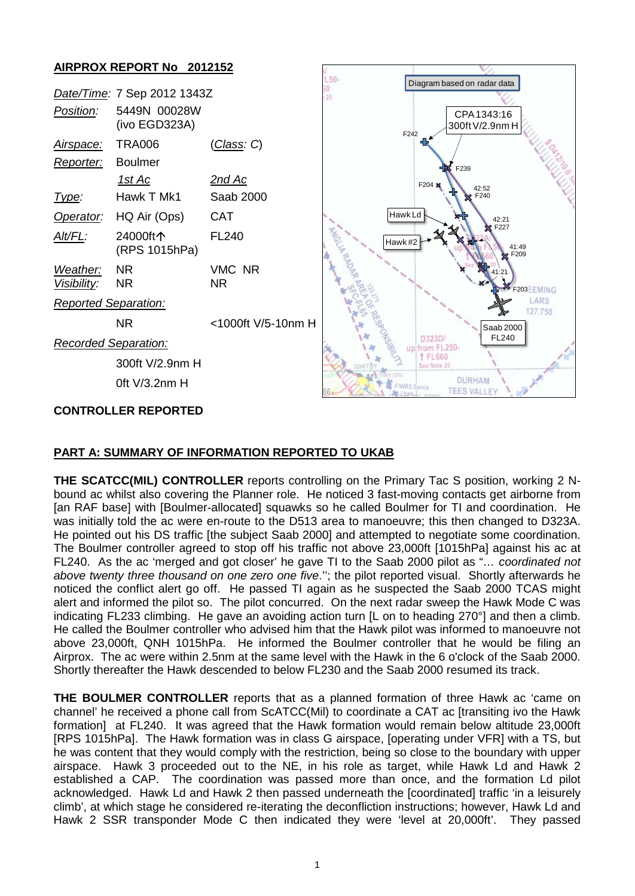

# **PART A: SUMMARY OF INFORMATION REPORTED TO UKAB**

**THE SCATCC(MIL) CONTROLLER** reports controlling on the Primary Tac S position, working 2 Nbound ac whilst also covering the Planner role. He noticed 3 fast-moving contacts get airborne from [an RAF base] with [Boulmer-allocated] squawks so he called Boulmer for TI and coordination. He was initially told the ac were en-route to the D513 area to manoeuvre; this then changed to D323A. He pointed out his DS traffic [the subject Saab 2000] and attempted to negotiate some coordination. The Boulmer controller agreed to stop off his traffic not above 23,000ft [1015hPa] against his ac at FL240. As the ac 'merged and got closer' he gave TI to the Saab 2000 pilot as "*… coordinated not above twenty three thousand on one zero one five*.''; the pilot reported visual. Shortly afterwards he noticed the conflict alert go off. He passed TI again as he suspected the Saab 2000 TCAS might alert and informed the pilot so. The pilot concurred. On the next radar sweep the Hawk Mode C was indicating FL233 climbing. He gave an avoiding action turn [L on to heading 270°] and then a climb. He called the Boulmer controller who advised him that the Hawk pilot was informed to manoeuvre not above 23,000ft, QNH 1015hPa. He informed the Boulmer controller that he would be filing an Airprox. The ac were within 2.5nm at the same level with the Hawk in the 6 o'clock of the Saab 2000. Shortly thereafter the Hawk descended to below FL230 and the Saab 2000 resumed its track.

**THE BOULMER CONTROLLER** reports that as a planned formation of three Hawk ac 'came on channel' he received a phone call from ScATCC(Mil) to coordinate a CAT ac [transiting ivo the Hawk formation] at FL240. It was agreed that the Hawk formation would remain below altitude 23,000ft [RPS 1015hPa]. The Hawk formation was in class G airspace, [operating under VFR] with a TS, but he was content that they would comply with the restriction, being so close to the boundary with upper airspace. Hawk 3 proceeded out to the NE, in his role as target, while Hawk Ld and Hawk 2 established a CAP. The coordination was passed more than once, and the formation Ld pilot acknowledged. Hawk Ld and Hawk 2 then passed underneath the [coordinated] traffic 'in a leisurely climb', at which stage he considered re-iterating the deconfliction instructions; however, Hawk Ld and Hawk 2 SSR transponder Mode C then indicated they were 'level at 20,000ft'. They passed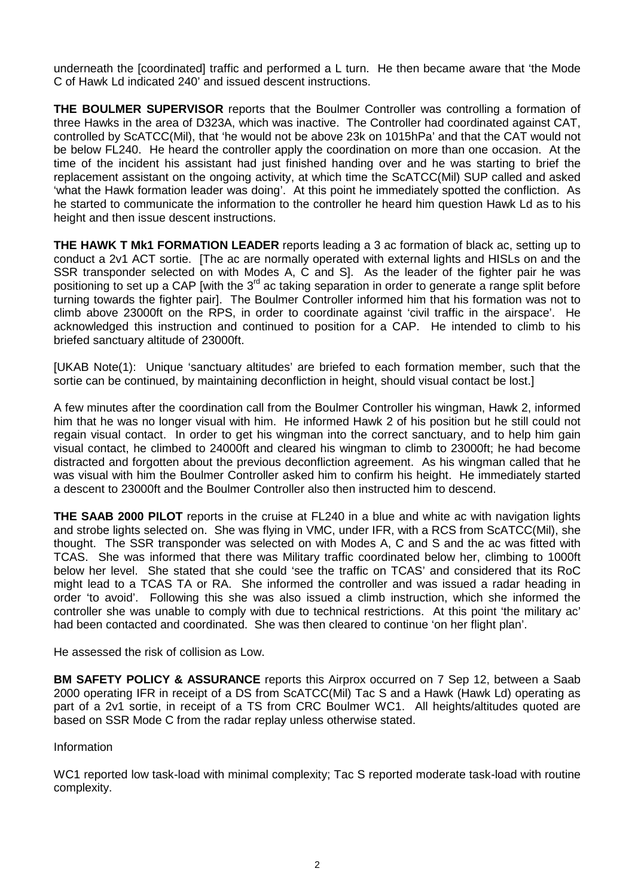underneath the [coordinated] traffic and performed a L turn. He then became aware that 'the Mode C of Hawk Ld indicated 240' and issued descent instructions.

**THE BOULMER SUPERVISOR** reports that the Boulmer Controller was controlling a formation of three Hawks in the area of D323A, which was inactive. The Controller had coordinated against CAT, controlled by ScATCC(Mil), that 'he would not be above 23k on 1015hPa' and that the CAT would not be below FL240. He heard the controller apply the coordination on more than one occasion. At the time of the incident his assistant had just finished handing over and he was starting to brief the replacement assistant on the ongoing activity, at which time the ScATCC(Mil) SUP called and asked 'what the Hawk formation leader was doing'. At this point he immediately spotted the confliction. As he started to communicate the information to the controller he heard him question Hawk Ld as to his height and then issue descent instructions.

**THE HAWK T Mk1 FORMATION LEADER** reports leading a 3 ac formation of black ac, setting up to conduct a 2v1 ACT sortie. [The ac are normally operated with external lights and HISLs on and the SSR transponder selected on with Modes A, C and S]. As the leader of the fighter pair he was positioning to set up a CAP [with the 3<sup>rd</sup> ac taking separation in order to generate a range split before turning towards the fighter pair]. The Boulmer Controller informed him that his formation was not to climb above 23000ft on the RPS, in order to coordinate against 'civil traffic in the airspace'. He acknowledged this instruction and continued to position for a CAP. He intended to climb to his briefed sanctuary altitude of 23000ft.

[UKAB Note(1): Unique 'sanctuary altitudes' are briefed to each formation member, such that the sortie can be continued, by maintaining deconfliction in height, should visual contact be lost.]

A few minutes after the coordination call from the Boulmer Controller his wingman, Hawk 2, informed him that he was no longer visual with him. He informed Hawk 2 of his position but he still could not regain visual contact. In order to get his wingman into the correct sanctuary, and to help him gain visual contact, he climbed to 24000ft and cleared his wingman to climb to 23000ft; he had become distracted and forgotten about the previous deconfliction agreement. As his wingman called that he was visual with him the Boulmer Controller asked him to confirm his height. He immediately started a descent to 23000ft and the Boulmer Controller also then instructed him to descend.

**THE SAAB 2000 PILOT** reports in the cruise at FL240 in a blue and white ac with navigation lights and strobe lights selected on. She was flying in VMC, under IFR, with a RCS from ScATCC(Mil), she thought. The SSR transponder was selected on with Modes A, C and S and the ac was fitted with TCAS. She was informed that there was Military traffic coordinated below her, climbing to 1000ft below her level. She stated that she could 'see the traffic on TCAS' and considered that its RoC might lead to a TCAS TA or RA. She informed the controller and was issued a radar heading in order 'to avoid'. Following this she was also issued a climb instruction, which she informed the controller she was unable to comply with due to technical restrictions. At this point 'the military ac' had been contacted and coordinated. She was then cleared to continue 'on her flight plan'.

He assessed the risk of collision as Low.

**BM SAFETY POLICY & ASSURANCE** reports this Airprox occurred on 7 Sep 12, between a Saab 2000 operating IFR in receipt of a DS from ScATCC(Mil) Tac S and a Hawk (Hawk Ld) operating as part of a 2v1 sortie, in receipt of a TS from CRC Boulmer WC1. All heights/altitudes quoted are based on SSR Mode C from the radar replay unless otherwise stated.

### Information

WC1 reported low task-load with minimal complexity; Tac S reported moderate task-load with routine complexity.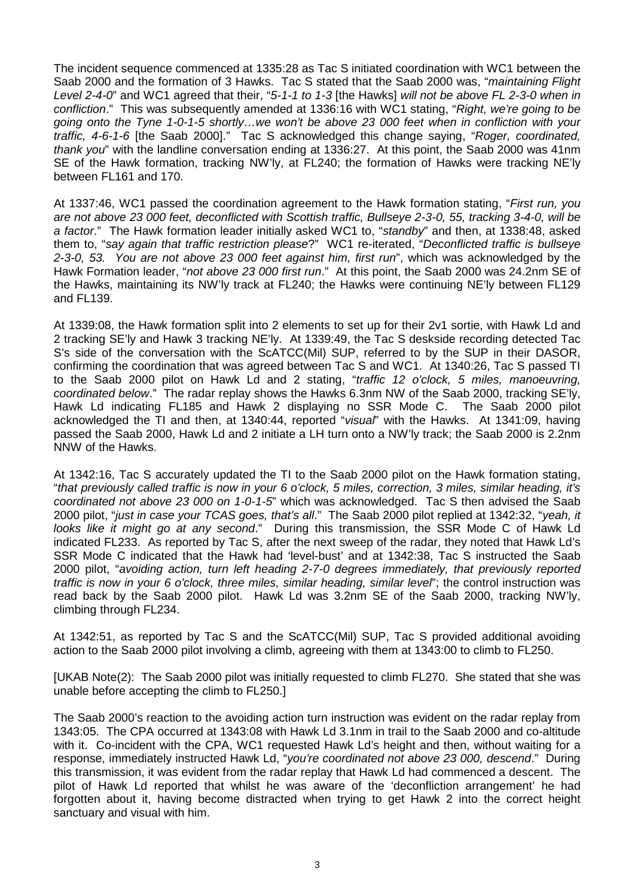The incident sequence commenced at 1335:28 as Tac S initiated coordination with WC1 between the Saab 2000 and the formation of 3 Hawks. Tac S stated that the Saab 2000 was, "*maintaining Flight Level 2-4-0*" and WC1 agreed that their, "*5-1-1 to 1-3* [the Hawks] *will not be above FL 2-3-0 when in confliction*." This was subsequently amended at 1336:16 with WC1 stating, "*Right, we're going to be going onto the Tyne 1-0-1-5 shortly…we won't be above 23 000 feet when in confliction with your traffic, 4-6-1-6* [the Saab 2000]." Tac S acknowledged this change saying, "*Roger, coordinated, thank you*" with the landline conversation ending at 1336:27. At this point, the Saab 2000 was 41nm SE of the Hawk formation, tracking NW'ly, at FL240; the formation of Hawks were tracking NE'ly between FL161 and 170.

At 1337:46, WC1 passed the coordination agreement to the Hawk formation stating, "*First run, you are not above 23 000 feet, deconflicted with Scottish traffic, Bullseye 2-3-0, 55, tracking 3-4-0, will be a factor*." The Hawk formation leader initially asked WC1 to, "*standby*" and then, at 1338:48, asked them to, "*say again that traffic restriction please*?" WC1 re-iterated, "*Deconflicted traffic is bullseye 2-3-0, 53. You are not above 23 000 feet against him, first run*", which was acknowledged by the Hawk Formation leader, "*not above 23 000 first run*." At this point, the Saab 2000 was 24.2nm SE of the Hawks, maintaining its NW'ly track at FL240; the Hawks were continuing NE'ly between FL129 and FL139.

At 1339:08, the Hawk formation split into 2 elements to set up for their 2v1 sortie, with Hawk Ld and 2 tracking SE'ly and Hawk 3 tracking NE'ly. At 1339:49, the Tac S deskside recording detected Tac S's side of the conversation with the ScATCC(Mil) SUP, referred to by the SUP in their DASOR, confirming the coordination that was agreed between Tac S and WC1. At 1340:26, Tac S passed TI to the Saab 2000 pilot on Hawk Ld and 2 stating, "*traffic 12 o'clock, 5 miles, manoeuvring, coordinated below*." The radar replay shows the Hawks 6.3nm NW of the Saab 2000, tracking SE'ly, Hawk Ld indicating FL185 and Hawk 2 displaying no SSR Mode C. The Saab 2000 pilot acknowledged the TI and then, at 1340:44, reported "*visual*" with the Hawks. At 1341:09, having passed the Saab 2000, Hawk Ld and 2 initiate a LH turn onto a NW'ly track; the Saab 2000 is 2.2nm NNW of the Hawks.

At 1342:16, Tac S accurately updated the TI to the Saab 2000 pilot on the Hawk formation stating, "*that previously called traffic is now in your 6 o'clock, 5 miles, correction, 3 miles, similar heading, it's coordinated not above 23 000 on 1-0-1-5*" which was acknowledged. Tac S then advised the Saab 2000 pilot, "*just in case your TCAS goes, that's all*." The Saab 2000 pilot replied at 1342:32, "*yeah, it looks like it might go at any second*." During this transmission, the SSR Mode C of Hawk Ld indicated FL233. As reported by Tac S, after the next sweep of the radar, they noted that Hawk Ld's SSR Mode C indicated that the Hawk had 'level-bust' and at 1342:38, Tac S instructed the Saab 2000 pilot, "*avoiding action, turn left heading 2-7-0 degrees immediately, that previously reported traffic is now in your 6 o'clock, three miles, similar heading, similar level*"; the control instruction was read back by the Saab 2000 pilot. Hawk Ld was 3.2nm SE of the Saab 2000, tracking NW'ly, climbing through FL234.

At 1342:51, as reported by Tac S and the ScATCC(Mil) SUP, Tac S provided additional avoiding action to the Saab 2000 pilot involving a climb, agreeing with them at 1343:00 to climb to FL250.

[UKAB Note(2): The Saab 2000 pilot was initially requested to climb FL270. She stated that she was unable before accepting the climb to FL250.]

The Saab 2000's reaction to the avoiding action turn instruction was evident on the radar replay from 1343:05. The CPA occurred at 1343:08 with Hawk Ld 3.1nm in trail to the Saab 2000 and co-altitude with it. Co-incident with the CPA, WC1 requested Hawk Ld's height and then, without waiting for a response, immediately instructed Hawk Ld, "*you're coordinated not above 23 000, descend*." During this transmission, it was evident from the radar replay that Hawk Ld had commenced a descent. The pilot of Hawk Ld reported that whilst he was aware of the 'deconfliction arrangement' he had forgotten about it, having become distracted when trying to get Hawk 2 into the correct height sanctuary and visual with him.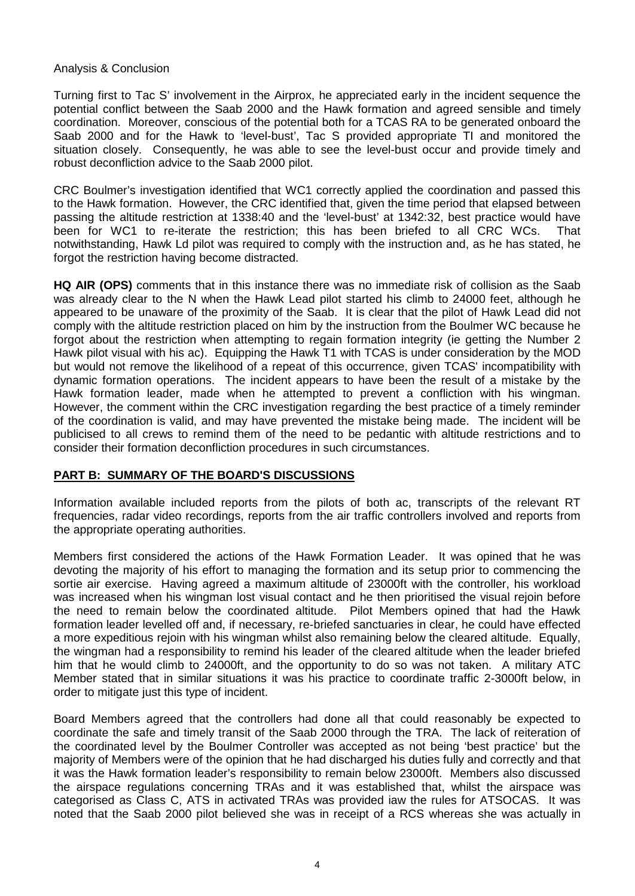### Analysis & Conclusion

Turning first to Tac S' involvement in the Airprox, he appreciated early in the incident sequence the potential conflict between the Saab 2000 and the Hawk formation and agreed sensible and timely coordination. Moreover, conscious of the potential both for a TCAS RA to be generated onboard the Saab 2000 and for the Hawk to 'level-bust', Tac S provided appropriate TI and monitored the situation closely. Consequently, he was able to see the level-bust occur and provide timely and robust deconfliction advice to the Saab 2000 pilot.

CRC Boulmer's investigation identified that WC1 correctly applied the coordination and passed this to the Hawk formation. However, the CRC identified that, given the time period that elapsed between passing the altitude restriction at 1338:40 and the 'level-bust' at 1342:32, best practice would have been for WC1 to re-iterate the restriction; this has been briefed to all CRC WCs. That notwithstanding, Hawk Ld pilot was required to comply with the instruction and, as he has stated, he forgot the restriction having become distracted.

**HQ AIR (OPS)** comments that in this instance there was no immediate risk of collision as the Saab was already clear to the N when the Hawk Lead pilot started his climb to 24000 feet, although he appeared to be unaware of the proximity of the Saab. It is clear that the pilot of Hawk Lead did not comply with the altitude restriction placed on him by the instruction from the Boulmer WC because he forgot about the restriction when attempting to regain formation integrity (ie getting the Number 2 Hawk pilot visual with his ac). Equipping the Hawk T1 with TCAS is under consideration by the MOD but would not remove the likelihood of a repeat of this occurrence, given TCAS' incompatibility with dynamic formation operations. The incident appears to have been the result of a mistake by the Hawk formation leader, made when he attempted to prevent a confliction with his wingman. However, the comment within the CRC investigation regarding the best practice of a timely reminder of the coordination is valid, and may have prevented the mistake being made. The incident will be publicised to all crews to remind them of the need to be pedantic with altitude restrictions and to consider their formation deconfliction procedures in such circumstances.

## **PART B: SUMMARY OF THE BOARD'S DISCUSSIONS**

Information available included reports from the pilots of both ac, transcripts of the relevant RT frequencies, radar video recordings, reports from the air traffic controllers involved and reports from the appropriate operating authorities.

Members first considered the actions of the Hawk Formation Leader. It was opined that he was devoting the majority of his effort to managing the formation and its setup prior to commencing the sortie air exercise. Having agreed a maximum altitude of 23000ft with the controller, his workload was increased when his wingman lost visual contact and he then prioritised the visual rejoin before the need to remain below the coordinated altitude. Pilot Members opined that had the Hawk formation leader levelled off and, if necessary, re-briefed sanctuaries in clear, he could have effected a more expeditious rejoin with his wingman whilst also remaining below the cleared altitude. Equally, the wingman had a responsibility to remind his leader of the cleared altitude when the leader briefed him that he would climb to 24000ft, and the opportunity to do so was not taken. A military ATC Member stated that in similar situations it was his practice to coordinate traffic 2-3000ft below, in order to mitigate just this type of incident.

Board Members agreed that the controllers had done all that could reasonably be expected to coordinate the safe and timely transit of the Saab 2000 through the TRA. The lack of reiteration of the coordinated level by the Boulmer Controller was accepted as not being 'best practice' but the majority of Members were of the opinion that he had discharged his duties fully and correctly and that it was the Hawk formation leader's responsibility to remain below 23000ft. Members also discussed the airspace regulations concerning TRAs and it was established that, whilst the airspace was categorised as Class C, ATS in activated TRAs was provided iaw the rules for ATSOCAS. It was noted that the Saab 2000 pilot believed she was in receipt of a RCS whereas she was actually in